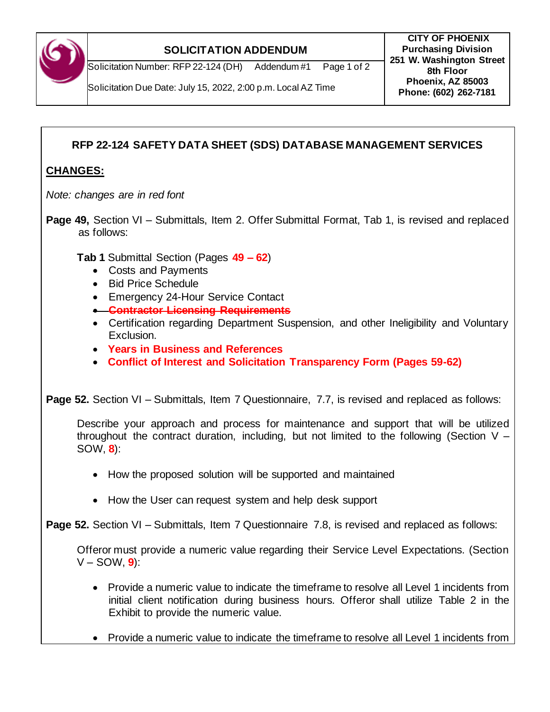

## **SOLICITATION ADDENDUM**

**CITY OF PHOENIX Purchasing Division 251 W. Washington Street 8th Floor Phoenix, AZ 85003 Phone: (602) 262-7181**

Solicitation Due Date: July 15, 2022, 2:00 p.m. Local AZ Time

## **RFP 22-124 SAFETY DATA SHEET (SDS) DATABASE MANAGEMENT SERVICES**

## **CHANGES:**

*Note: changes are in red font*

**Page 49,** Section VI – Submittals, Item 2. Offer Submittal Format, Tab 1, is revised and replaced as follows:

**Tab 1** Submittal Section (Pages **49 – 62**)

- Costs and Payments
- Bid Price Schedule
- Emergency 24-Hour Service Contact
- **Contractor Licensing Requirements**
- Certification regarding Department Suspension, and other Ineligibility and Voluntary Exclusion.
- **Years in Business and References**
- **Conflict of Interest and Solicitation Transparency Form (Pages 59-62)**

**Page 52.** Section VI – Submittals, Item 7 Questionnaire, 7.7, is revised and replaced as follows:

Describe your approach and process for maintenance and support that will be utilized throughout the contract duration, including, but not limited to the following (Section  $V -$ SOW, **8**):

- How the proposed solution will be supported and maintained
- How the User can request system and help desk support

**Page 52.** Section VI – Submittals, Item 7 Questionnaire 7.8, is revised and replaced as follows:

Offeror must provide a numeric value regarding their Service Level Expectations. (Section V – SOW, **9**):

- Provide a numeric value to indicate the timeframe to resolve all Level 1 incidents from initial client notification during business hours. Offeror shall utilize Table 2 in the Exhibit to provide the numeric value.
- Provide a numeric value to indicate the timeframe to resolve all Level 1 incidents from